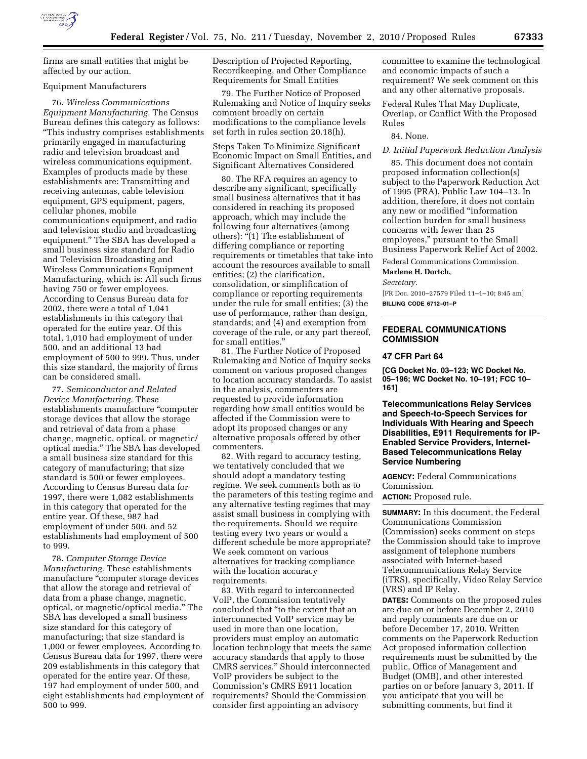

firms are small entities that might be affected by our action.

# Equipment Manufacturers

76. *Wireless Communications Equipment Manufacturing.* The Census Bureau defines this category as follows: ''This industry comprises establishments primarily engaged in manufacturing radio and television broadcast and wireless communications equipment. Examples of products made by these establishments are: Transmitting and receiving antennas, cable television equipment, GPS equipment, pagers, cellular phones, mobile communications equipment, and radio and television studio and broadcasting equipment.'' The SBA has developed a small business size standard for Radio and Television Broadcasting and Wireless Communications Equipment Manufacturing, which is: All such firms having 750 or fewer employees. According to Census Bureau data for 2002, there were a total of 1,041 establishments in this category that operated for the entire year. Of this total, 1,010 had employment of under 500, and an additional 13 had employment of 500 to 999. Thus, under this size standard, the majority of firms can be considered small.

77. *Semiconductor and Related Device Manufacturing.* These establishments manufacture ''computer storage devices that allow the storage and retrieval of data from a phase change, magnetic, optical, or magnetic/ optical media.'' The SBA has developed a small business size standard for this category of manufacturing; that size standard is 500 or fewer employees. According to Census Bureau data for 1997, there were 1,082 establishments in this category that operated for the entire year. Of these, 987 had employment of under 500, and 52 establishments had employment of 500 to 999.

78. *Computer Storage Device Manufacturing.* These establishments manufacture ''computer storage devices that allow the storage and retrieval of data from a phase change, magnetic, optical, or magnetic/optical media.'' The SBA has developed a small business size standard for this category of manufacturing; that size standard is 1,000 or fewer employees. According to Census Bureau data for 1997, there were 209 establishments in this category that operated for the entire year. Of these, 197 had employment of under 500, and eight establishments had employment of 500 to 999.

Description of Projected Reporting, Recordkeeping, and Other Compliance Requirements for Small Entities

79. The Further Notice of Proposed Rulemaking and Notice of Inquiry seeks comment broadly on certain modifications to the compliance levels set forth in rules section 20.18(h).

Steps Taken To Minimize Significant Economic Impact on Small Entities, and Significant Alternatives Considered

80. The RFA requires an agency to describe any significant, specifically small business alternatives that it has considered in reaching its proposed approach, which may include the following four alternatives (among others): "(1) The establishment of differing compliance or reporting requirements or timetables that take into account the resources available to small entities; (2) the clarification, consolidation, or simplification of compliance or reporting requirements under the rule for small entities; (3) the use of performance, rather than design, standards; and (4) and exemption from coverage of the rule, or any part thereof, for small entities.''

81. The Further Notice of Proposed Rulemaking and Notice of Inquiry seeks comment on various proposed changes to location accuracy standards. To assist in the analysis, commenters are requested to provide information regarding how small entities would be affected if the Commission were to adopt its proposed changes or any alternative proposals offered by other commenters.

82. With regard to accuracy testing, we tentatively concluded that we should adopt a mandatory testing regime. We seek comments both as to the parameters of this testing regime and any alternative testing regimes that may assist small business in complying with the requirements. Should we require testing every two years or would a different schedule be more appropriate? We seek comment on various alternatives for tracking compliance with the location accuracy requirements.

83. With regard to interconnected VoIP, the Commission tentatively concluded that ''to the extent that an interconnected VoIP service may be used in more than one location, providers must employ an automatic location technology that meets the same accuracy standards that apply to those CMRS services.'' Should interconnected VoIP providers be subject to the Commission's CMRS E911 location requirements? Should the Commission consider first appointing an advisory

committee to examine the technological and economic impacts of such a requirement? We seek comment on this and any other alternative proposals.

Federal Rules That May Duplicate, Overlap, or Conflict With the Proposed Rules

84. None.

## *D. Initial Paperwork Reduction Analysis*

85. This document does not contain proposed information collection(s) subject to the Paperwork Reduction Act of 1995 (PRA), Public Law 104–13. In addition, therefore, it does not contain any new or modified ''information collection burden for small business concerns with fewer than 25 employees,'' pursuant to the Small Business Paperwork Relief Act of 2002.

Federal Communications Commission.

**Marlene H. Dortch,** 

*Secretary.* 

[FR Doc. 2010–27579 Filed 11–1–10; 8:45 am] **BILLING CODE 6712–01–P** 

# **FEDERAL COMMUNICATIONS COMMISSION**

## **47 CFR Part 64**

**[CG Docket No. 03–123; WC Docket No. 05–196; WC Docket No. 10–191; FCC 10– 161]** 

**Telecommunications Relay Services and Speech-to-Speech Services for Individuals With Hearing and Speech Disabilities, E911 Requirements for IP-Enabled Service Providers, Internet-Based Telecommunications Relay Service Numbering** 

**AGENCY:** Federal Communications Commission.

**ACTION:** Proposed rule.

**SUMMARY:** In this document, the Federal Communications Commission (Commission) seeks comment on steps the Commission should take to improve assignment of telephone numbers associated with Internet-based Telecommunications Relay Service (iTRS), specifically, Video Relay Service (VRS) and IP Relay.

**DATES:** Comments on the proposed rules are due on or before December 2, 2010 and reply comments are due on or before December 17, 2010. Written comments on the Paperwork Reduction Act proposed information collection requirements must be submitted by the public, Office of Management and Budget (OMB), and other interested parties on or before January 3, 2011. If you anticipate that you will be submitting comments, but find it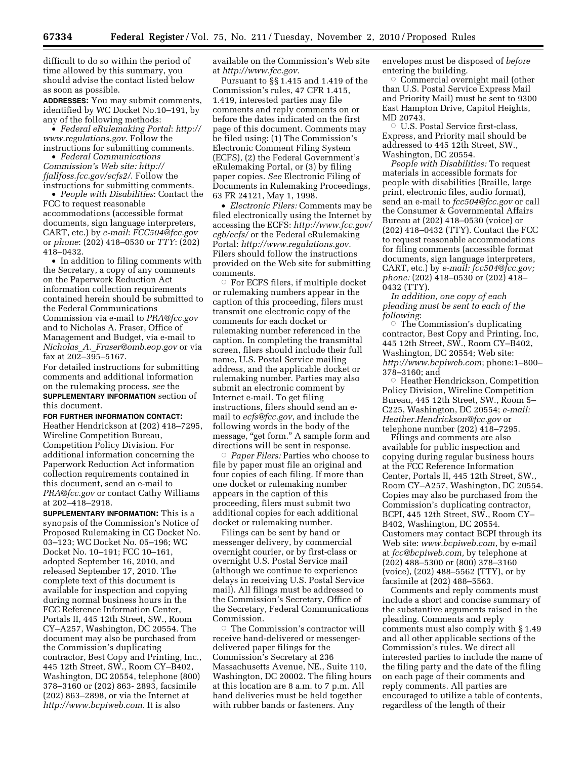difficult to do so within the period of time allowed by this summary, you should advise the contact listed below as soon as possible.

**ADDRESSES:** You may submit comments, identified by WC Docket No.10–191, by any of the following methods:

• *Federal eRulemaking Portal*: *http:// www.regulations.gov*. Follow the instructions for submitting comments.

• *Federal Communications Commission's Web site: http:// fjallfoss.fcc.gov/ecfs2/*. Follow the instructions for submitting comments.

• *People with Disabilities*: Contact the FCC to request reasonable accommodations (accessible format documents, sign language interpreters, CART, etc.) by *e-mail*: *FCC504@fcc.gov*  or *phone*: (202) 418–0530 or *TTY*: (202) 418–0432.

• In addition to filing comments with the Secretary, a copy of any comments on the Paperwork Reduction Act information collection requirements contained herein should be submitted to the Federal Communications Commission via e-mail to *PRA@fcc.gov*  and to Nicholas A. Fraser, Office of Management and Budget, via e-mail to *Nicholas*\_*A.*\_*Fraser@omb.eop.gov* or via fax at 202–395–5167.

For detailed instructions for submitting comments and additional information on the rulemaking process, *see* the **SUPPLEMENTARY INFORMATION** section of this document.

#### **FOR FURTHER INFORMATION CONTACT:**

Heather Hendrickson at (202) 418–7295, Wireline Competition Bureau, Competition Policy Division. For additional information concerning the Paperwork Reduction Act information collection requirements contained in this document, send an e-mail to *PRA@fcc.gov* or contact Cathy Williams at 202–418–2918.

**SUPPLEMENTARY INFORMATION:** This is a synopsis of the Commission's Notice of Proposed Rulemaking in CG Docket No. 03–123; WC Docket No. 05–196; WC Docket No. 10–191; FCC 10–161, adopted September 16, 2010, and released September 17, 2010. The complete text of this document is available for inspection and copying during normal business hours in the FCC Reference Information Center, Portals II, 445 12th Street, SW., Room CY–A257, Washington, DC 20554. The document may also be purchased from the Commission's duplicating contractor, Best Copy and Printing, Inc., 445 12th Street, SW., Room CY–B402, Washington, DC 20554, telephone (800) 378–3160 or (202) 863- 2893, facsimile (202) 863–2898, or via the Internet at *http://www.bcpiweb.com.* It is also

available on the Commission's Web site at *http://www.fcc.gov.* 

Pursuant to §§ 1.415 and 1.419 of the Commission's rules, 47 CFR 1.415, 1.419, interested parties may file comments and reply comments on or before the dates indicated on the first page of this document. Comments may be filed using: (1) The Commission's Electronic Comment Filing System (ECFS), (2) the Federal Government's eRulemaking Portal, or (3) by filing paper copies. *See* Electronic Filing of Documents in Rulemaking Proceedings, 63 FR 24121, May 1, 1998.

• *Electronic Filers:* Comments may be filed electronically using the Internet by accessing the ECFS: *http://www.fcc.gov/ cgb/ecfs/* or the Federal eRulemaking Portal: *http://www.regulations.gov.*  Filers should follow the instructions provided on the Web site for submitting comments.

Æ For ECFS filers, if multiple docket or rulemaking numbers appear in the caption of this proceeding, filers must transmit one electronic copy of the comments for each docket or rulemaking number referenced in the caption. In completing the transmittal screen, filers should include their full name, U.S. Postal Service mailing address, and the applicable docket or rulemaking number. Parties may also submit an electronic comment by Internet e-mail. To get filing instructions, filers should send an email to *ecfs@fcc.gov*, and include the following words in the body of the message, "get form." A sample form and directions will be sent in response.

Æ *Paper Filers:* Parties who choose to file by paper must file an original and four copies of each filing. If more than one docket or rulemaking number appears in the caption of this proceeding, filers must submit two additional copies for each additional docket or rulemaking number.

Filings can be sent by hand or messenger delivery, by commercial overnight courier, or by first-class or overnight U.S. Postal Service mail (although we continue to experience delays in receiving U.S. Postal Service mail). All filings must be addressed to the Commission's Secretary, Office of the Secretary, Federal Communications Commission.

 $\circ$  The Commission's contractor will receive hand-delivered or messengerdelivered paper filings for the Commission's Secretary at 236 Massachusetts Avenue, NE., Suite 110, Washington, DC 20002. The filing hours at this location are 8 a.m. to 7 p.m. All hand deliveries must be held together with rubber bands or fasteners. Any

envelopes must be disposed of *before*  entering the building.

 $\circ$  Commercial overnight mail (other than U.S. Postal Service Express Mail and Priority Mail) must be sent to 9300 East Hampton Drive, Capitol Heights, MD 20743.

O U.S. Postal Service first-class, Express, and Priority mail should be addressed to 445 12th Street, SW., Washington, DC 20554.

*People with Disabilities:* To request materials in accessible formats for people with disabilities (Braille, large print, electronic files, audio format), send an e-mail to *fcc504@fcc.gov* or call the Consumer & Governmental Affairs Bureau at (202) 418–0530 (voice) or (202) 418–0432 (TTY). Contact the FCC to request reasonable accommodations for filing comments (accessible format documents, sign language interpreters, CART, etc.) by *e-mail: fcc504@fcc.gov; phone:* (202) 418–0530 or (202) 418– 0432 (TTY).

*In addition, one copy of each pleading must be sent to each of the following*:

 $\circ$  The Commission's duplicating contractor, Best Copy and Printing, Inc, 445 12th Street, SW., Room CY–B402, Washington, DC 20554; Web site: *http://www.bcpiweb.com*; phone:1–800– 378–3160; and

G Heather Hendrickson, Competition Policy Division, Wireline Competition Bureau, 445 12th Street, SW., Room 5– C225, Washington, DC 20554; *e-mail: Heather.Hendrickson@fcc.gov* or telephone number (202) 418–7295.

Filings and comments are also available for public inspection and copying during regular business hours at the FCC Reference Information Center, Portals II, 445 12th Street, SW., Room CY–A257, Washington, DC 20554. Copies may also be purchased from the Commission's duplicating contractor, BCPI, 445 12th Street, SW., Room CY– B402, Washington, DC 20554. Customers may contact BCPI through its Web site: *www.bcpiweb.com*, by e-mail at *fcc@bcpiweb.com,* by telephone at (202) 488–5300 or (800) 378–3160 (voice), (202) 488–5562 (TTY), or by facsimile at (202) 488–5563.

Comments and reply comments must include a short and concise summary of the substantive arguments raised in the pleading. Comments and reply comments must also comply with § 1.49 and all other applicable sections of the Commission's rules. We direct all interested parties to include the name of the filing party and the date of the filing on each page of their comments and reply comments. All parties are encouraged to utilize a table of contents, regardless of the length of their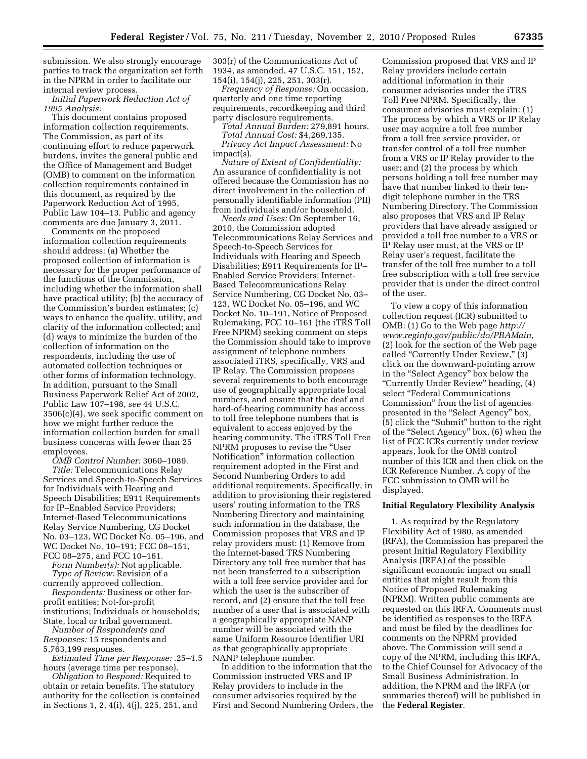submission. We also strongly encourage parties to track the organization set forth in the NPRM in order to facilitate our internal review process.

*Initial Paperwork Reduction Act of 1995 Analysis:* 

This document contains proposed information collection requirements. The Commission, as part of its continuing effort to reduce paperwork burdens, invites the general public and the Office of Management and Budget (OMB) to comment on the information collection requirements contained in this document, as required by the Paperwork Reduction Act of 1995, Public Law 104–13. Public and agency comments are due January 3, 2011.

Comments on the proposed information collection requirements should address: (a) Whether the proposed collection of information is necessary for the proper performance of the functions of the Commission, including whether the information shall have practical utility; (b) the accuracy of the Commission's burden estimates; (c) ways to enhance the quality, utility, and clarity of the information collected; and (d) ways to minimize the burden of the collection of information on the respondents, including the use of automated collection techniques or other forms of information technology. In addition, pursuant to the Small Business Paperwork Relief Act of 2002, Public Law 107–198, *see* 44 U.S.C. 3506(c)(4), we seek specific comment on how we might further reduce the information collection burden for small business concerns with fewer than 25 employees.

*OMB Control Number:* 3060–1089. *Title:* Telecommunications Relay Services and Speech-to-Speech Services for Individuals with Hearing and Speech Disabilities; E911 Requirements for IP–Enabled Service Providers; Internet-Based Telecommunications Relay Service Numbering, CG Docket No. 03–123, WC Docket No. 05–196, and WC Docket No. 10–191; FCC 08–151, FCC 08–275, and FCC 10–161.

*Form Number(s):* Not applicable. *Type of Review:* Revision of a

currently approved collection. *Respondents:* Business or other forprofit entities; Not-for-profit institutions; Individuals or households; State, local or tribal government.

*Number of Respondents and Responses:* 15 respondents and 5,763,199 responses.

*Estimated Time per Response:* .25–1.5 hours (average time per response).

*Obligation to Respond:* Required to obtain or retain benefits. The statutory authority for the collection is contained in Sections 1, 2, 4(i), 4(j), 225, 251, and

303(r) of the Communications Act of 1934, as amended, 47 U.S.C. 151, 152, 154(i), 154(j), 225, 251, 303(r).

*Frequency of Response:* On occasion, quarterly and one time reporting requirements, recordkeeping and third party disclosure requirements.

*Total Annual Burden:* 279,891 hours.

*Total Annual Cost:* \$4,269,135. *Privacy Act Impact Assessment:* No impact(s).

*Nature of Extent of Confidentiality:*  An assurance of confidentiality is not offered because the Commission has no direct involvement in the collection of personally identifiable information (PII) from individuals and/or household.

*Needs and Uses:* On September 16, 2010, the Commission adopted Telecommunications Relay Services and Speech-to-Speech Services for Individuals with Hearing and Speech Disabilities; E911 Requirements for IP– Enabled Service Providers; Internet-Based Telecommunications Relay Service Numbering, CG Docket No. 03– 123, WC Docket No. 05–196, and WC Docket No. 10–191, Notice of Proposed Rulemaking, FCC 10–161 (the iTRS Toll Free NPRM) seeking comment on steps the Commission should take to improve assignment of telephone numbers associated iTRS, specifically, VRS and IP Relay. The Commission proposes several requirements to both encourage use of geographically appropriate local numbers, and ensure that the deaf and hard-of-hearing community has access to toll free telephone numbers that is equivalent to access enjoyed by the hearing community. The iTRS Toll Free NPRM proposes to revise the ''User Notification'' information collection requirement adopted in the First and Second Numbering Orders to add additional requirements. Specifically, in addition to provisioning their registered users' routing information to the TRS Numbering Directory and maintaining such information in the database, the Commission proposes that VRS and IP relay providers must: (1) Remove from the Internet-based TRS Numbering Directory any toll free number that has not been transferred to a subscription with a toll free service provider and for which the user is the subscriber of record, and (2) ensure that the toll free number of a user that is associated with a geographically appropriate NANP number will be associated with the same Uniform Resource Identifier URI as that geographically appropriate NANP telephone number.

In addition to the information that the Commission instructed VRS and IP Relay providers to include in the consumer advisories required by the First and Second Numbering Orders, the Commission proposed that VRS and IP Relay providers include certain additional information in their consumer advisories under the iTRS Toll Free NPRM. Specifically, the consumer advisories must explain: (1) The process by which a VRS or IP Relay user may acquire a toll free number from a toll free service provider, or transfer control of a toll free number from a VRS or IP Relay provider to the user; and (2) the process by which persons holding a toll free number may have that number linked to their tendigit telephone number in the TRS Numbering Directory. The Commission also proposes that VRS and IP Relay providers that have already assigned or provided a toll free number to a VRS or IP Relay user must, at the VRS or IP Relay user's request, facilitate the transfer of the toll free number to a toll free subscription with a toll free service provider that is under the direct control of the user.

To view a copy of this information collection request (ICR) submitted to OMB: (1) Go to the Web page *http:// www.reginfo.gov/public/do/PRAMain,*  (2) look for the section of the Web page called "Currently Under Review," (3) click on the downward-pointing arrow in the "Select Agency" box below the ''Currently Under Review'' heading, (4) select "Federal Communications Commission'' from the list of agencies presented in the ''Select Agency'' box, (5) click the ''Submit'' button to the right of the ''Select Agency'' box, (6) when the list of FCC ICRs currently under review appears, look for the OMB control number of this ICR and then click on the ICR Reference Number. A copy of the FCC submission to OMB will be displayed.

### **Initial Regulatory Flexibility Analysis**

1. As required by the Regulatory Flexibility Act of 1980, as amended (RFA), the Commission has prepared the present Initial Regulatory Flexibility Analysis (IRFA) of the possible significant economic impact on small entities that might result from this Notice of Proposed Rulemaking (NPRM). Written public comments are requested on this IRFA. Comments must be identified as responses to the IRFA and must be filed by the deadlines for comments on the NPRM provided above. The Commission will send a copy of the NPRM, including this IRFA, to the Chief Counsel for Advocacy of the Small Business Administration. In addition, the NPRM and the IRFA (or summaries thereof) will be published in the **Federal Register**.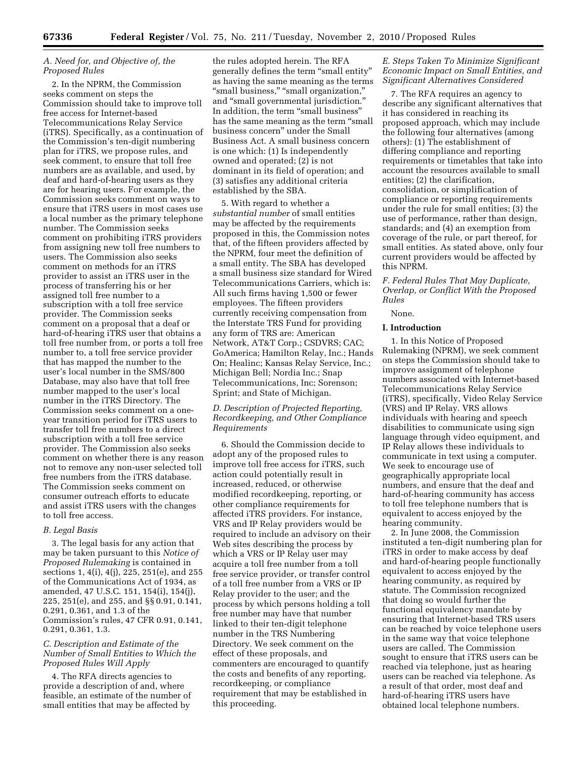## *A. Need for, and Objective of, the Proposed Rules*

2. In the NPRM, the Commission seeks comment on steps the Commission should take to improve toll free access for Internet-based Telecommunications Relay Service (iTRS). Specifically, as a continuation of the Commission's ten-digit numbering plan for iTRS, we propose rules, and seek comment, to ensure that toll free numbers are as available, and used, by deaf and hard-of-hearing users as they are for hearing users. For example, the Commission seeks comment on ways to ensure that iTRS users in most cases use a local number as the primary telephone number. The Commission seeks comment on prohibiting iTRS providers from assigning new toll free numbers to users. The Commission also seeks comment on methods for an iTRS provider to assist an iTRS user in the process of transferring his or her assigned toll free number to a subscription with a toll free service provider. The Commission seeks comment on a proposal that a deaf or hard-of-hearing iTRS user that obtains a toll free number from, or ports a toll free number to, a toll free service provider that has mapped the number to the user's local number in the SMS/800 Database, may also have that toll free number mapped to the user's local number in the iTRS Directory. The Commission seeks comment on a oneyear transition period for iTRS users to transfer toll free numbers to a direct subscription with a toll free service provider. The Commission also seeks comment on whether there is any reason not to remove any non-user selected toll free numbers from the iTRS database. The Commission seeks comment on consumer outreach efforts to educate and assist iTRS users with the changes to toll free access.

#### *B. Legal Basis*

3. The legal basis for any action that may be taken pursuant to this *Notice of Proposed Rulemaking* is contained in sections 1, 4(i), 4(j), 225, 251(e), and 255 of the Communications Act of 1934, as amended, 47 U.S.C. 151, 154(i), 154(j), 225, 251(e), and 255, and §§ 0.91, 0.141, 0.291, 0.361, and 1.3 of the Commission's rules, 47 CFR 0.91, 0.141, 0.291, 0.361, 1.3.

## *C. Description and Estimate of the Number of Small Entities to Which the Proposed Rules Will Apply*

4. The RFA directs agencies to provide a description of and, where feasible, an estimate of the number of small entities that may be affected by

the rules adopted herein. The RFA generally defines the term ''small entity'' as having the same meaning as the terms "small business," "small organization," and ''small governmental jurisdiction.'' In addition, the term ''small business'' has the same meaning as the term "small business concern'' under the Small Business Act. A small business concern is one which: (1) Is independently owned and operated; (2) is not dominant in its field of operation; and (3) satisfies any additional criteria established by the SBA.

5. With regard to whether a *substantial number* of small entities may be affected by the requirements proposed in this, the Commission notes that, of the fifteen providers affected by the NPRM, four meet the definition of a small entity. The SBA has developed a small business size standard for Wired Telecommunications Carriers, which is: All such firms having 1,500 or fewer employees. The fifteen providers currently receiving compensation from the Interstate TRS Fund for providing any form of TRS are: American Network, AT&T Corp.; CSDVRS; CAC; GoAmerica; Hamilton Relay, Inc.; Hands On; Healinc; Kansas Relay Service, Inc.; Michigan Bell; Nordia Inc.; Snap Telecommunications, Inc; Sorenson; Sprint; and State of Michigan.

# *D. Description of Projected Reporting, Recordkeeping, and Other Compliance Requirements*

6. Should the Commission decide to adopt any of the proposed rules to improve toll free access for iTRS, such action could potentially result in increased, reduced, or otherwise modified recordkeeping, reporting, or other compliance requirements for affected iTRS providers. For instance, VRS and IP Relay providers would be required to include an advisory on their Web sites describing the process by which a VRS or IP Relay user may acquire a toll free number from a toll free service provider, or transfer control of a toll free number from a VRS or IP Relay provider to the user; and the process by which persons holding a toll free number may have that number linked to their ten-digit telephone number in the TRS Numbering Directory. We seek comment on the effect of these proposals, and commenters are encouraged to quantify the costs and benefits of any reporting, recordkeeping, or compliance requirement that may be established in this proceeding.

# *E. Steps Taken To Minimize Significant Economic Impact on Small Entities, and Significant Alternatives Considered*

7. The RFA requires an agency to describe any significant alternatives that it has considered in reaching its proposed approach, which may include the following four alternatives (among others): (1) The establishment of differing compliance and reporting requirements or timetables that take into account the resources available to small entities; (2) the clarification, consolidation, or simplification of compliance or reporting requirements under the rule for small entities; (3) the use of performance, rather than design, standards; and (4) an exemption from coverage of the rule, or part thereof, for small entities. As stated above, only four current providers would be affected by this NPRM.

## *F. Federal Rules That May Duplicate, Overlap, or Conflict With the Proposed Rules*

## None.

## **I. Introduction**

1. In this Notice of Proposed Rulemaking (NPRM), we seek comment on steps the Commission should take to improve assignment of telephone numbers associated with Internet-based Telecommunications Relay Service (iTRS), specifically, Video Relay Service (VRS) and IP Relay. VRS allows individuals with hearing and speech disabilities to communicate using sign language through video equipment, and IP Relay allows these individuals to communicate in text using a computer. We seek to encourage use of geographically appropriate local numbers, and ensure that the deaf and hard-of-hearing community has access to toll free telephone numbers that is equivalent to access enjoyed by the hearing community.

2. In June 2008, the Commission instituted a ten-digit numbering plan for iTRS in order to make access by deaf and hard-of-hearing people functionally equivalent to access enjoyed by the hearing community, as required by statute. The Commission recognized that doing so would further the functional equivalency mandate by ensuring that Internet-based TRS users can be reached by voice telephone users in the same way that voice telephone users are called. The Commission sought to ensure that iTRS users can be reached via telephone, just as hearing users can be reached via telephone. As a result of that order, most deaf and hard-of-hearing iTRS users have obtained local telephone numbers.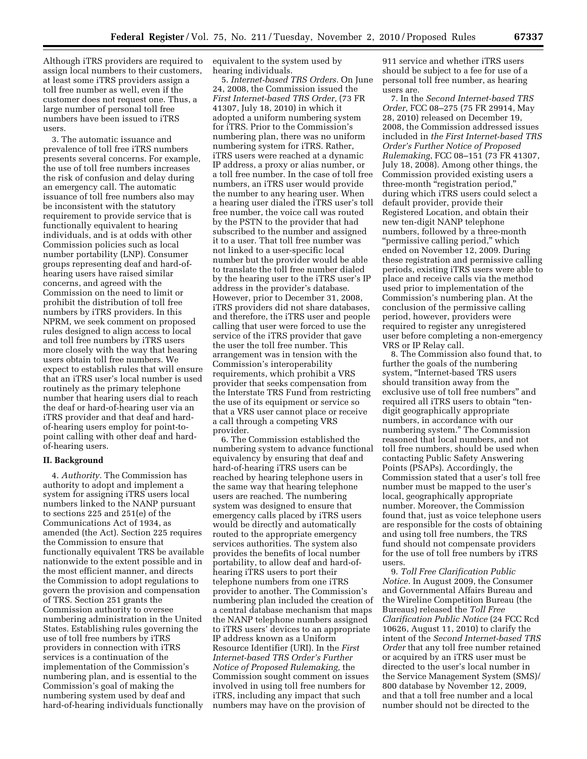Although iTRS providers are required to assign local numbers to their customers, at least some iTRS providers assign a toll free number as well, even if the customer does not request one. Thus, a large number of personal toll free numbers have been issued to iTRS users.

3. The automatic issuance and prevalence of toll free iTRS numbers presents several concerns. For example, the use of toll free numbers increases the risk of confusion and delay during an emergency call. The automatic issuance of toll free numbers also may be inconsistent with the statutory requirement to provide service that is functionally equivalent to hearing individuals, and is at odds with other Commission policies such as local number portability (LNP). Consumer groups representing deaf and hard-ofhearing users have raised similar concerns, and agreed with the Commission on the need to limit or prohibit the distribution of toll free numbers by iTRS providers. In this NPRM, we seek comment on proposed rules designed to align access to local and toll free numbers by iTRS users more closely with the way that hearing users obtain toll free numbers. We expect to establish rules that will ensure that an iTRS user's local number is used routinely as the primary telephone number that hearing users dial to reach the deaf or hard-of-hearing user via an iTRS provider and that deaf and hardof-hearing users employ for point-topoint calling with other deaf and hardof-hearing users.

## **II. Background**

4. *Authority.* The Commission has authority to adopt and implement a system for assigning iTRS users local numbers linked to the NANP pursuant to sections 225 and 251(e) of the Communications Act of 1934, as amended (the Act). Section 225 requires the Commission to ensure that functionally equivalent TRS be available nationwide to the extent possible and in the most efficient manner, and directs the Commission to adopt regulations to govern the provision and compensation of TRS. Section 251 grants the Commission authority to oversee numbering administration in the United States. Establishing rules governing the use of toll free numbers by iTRS providers in connection with iTRS services is a continuation of the implementation of the Commission's numbering plan, and is essential to the Commission's goal of making the numbering system used by deaf and hard-of-hearing individuals functionally

equivalent to the system used by hearing individuals.

5. *Internet-based TRS Orders.* On June 24, 2008, the Commission issued the *First Internet-based TRS Order,* (73 FR 41307, July 18, 2010) in which it adopted a uniform numbering system for iTRS. Prior to the Commission's numbering plan, there was no uniform numbering system for iTRS. Rather, iTRS users were reached at a dynamic IP address, a proxy or alias number, or a toll free number. In the case of toll free numbers, an iTRS user would provide the number to any hearing user. When a hearing user dialed the iTRS user's toll free number, the voice call was routed by the PSTN to the provider that had subscribed to the number and assigned it to a user. That toll free number was not linked to a user-specific local number but the provider would be able to translate the toll free number dialed by the hearing user to the iTRS user's IP address in the provider's database. However, prior to December 31, 2008, iTRS providers did not share databases, and therefore, the iTRS user and people calling that user were forced to use the service of the iTRS provider that gave the user the toll free number. This arrangement was in tension with the Commission's interoperability requirements, which prohibit a VRS provider that seeks compensation from the Interstate TRS Fund from restricting the use of its equipment or service so that a VRS user cannot place or receive a call through a competing VRS provider.

6. The Commission established the numbering system to advance functional equivalency by ensuring that deaf and hard-of-hearing iTRS users can be reached by hearing telephone users in the same way that hearing telephone users are reached. The numbering system was designed to ensure that emergency calls placed by iTRS users would be directly and automatically routed to the appropriate emergency services authorities. The system also provides the benefits of local number portability, to allow deaf and hard-ofhearing iTRS users to port their telephone numbers from one iTRS provider to another. The Commission's numbering plan included the creation of a central database mechanism that maps the NANP telephone numbers assigned to iTRS users' devices to an appropriate IP address known as a Uniform Resource Identifier (URI). In the *First Internet-based TRS Order's Further Notice of Proposed Rulemaking,* the Commission sought comment on issues involved in using toll free numbers for iTRS, including any impact that such numbers may have on the provision of

911 service and whether iTRS users should be subject to a fee for use of a personal toll free number, as hearing users are.

7. In the *Second Internet-based TRS Order*, FCC 08–275 (75 FR 29914, May 28, 2010) released on December 19, 2008, the Commission addressed issues included in *the First Internet-based TRS Order's Further Notice of Proposed Rulemaking*, FCC 08–151 (73 FR 41307, July 18, 2008). Among other things, the Commission provided existing users a three-month ''registration period,'' during which iTRS users could select a default provider, provide their Registered Location, and obtain their new ten-digit NANP telephone numbers, followed by a three-month "permissive calling period," which ended on November 12, 2009. During these registration and permissive calling periods, existing iTRS users were able to place and receive calls via the method used prior to implementation of the Commission's numbering plan. At the conclusion of the permissive calling period, however, providers were required to register any unregistered user before completing a non-emergency VRS or IP Relay call.

8. The Commission also found that, to further the goals of the numbering system, ''Internet-based TRS users should transition away from the exclusive use of toll free numbers'' and required all iTRS users to obtain ''tendigit geographically appropriate numbers, in accordance with our numbering system.'' The Commission reasoned that local numbers, and not toll free numbers, should be used when contacting Public Safety Answering Points (PSAPs). Accordingly, the Commission stated that a user's toll free number must be mapped to the user's local, geographically appropriate number. Moreover, the Commission found that, just as voice telephone users are responsible for the costs of obtaining and using toll free numbers, the TRS fund should not compensate providers for the use of toll free numbers by iTRS users.

9. *Toll Free Clarification Public Notice*. In August 2009, the Consumer and Governmental Affairs Bureau and the Wireline Competition Bureau (the Bureaus) released the *Toll Free Clarification Public Notice* (24 FCC Rcd 10626, August 11, 2010) to clarify the intent of the *Second Internet-based TRS Order* that any toll free number retained or acquired by an iTRS user must be directed to the user's local number in the Service Management System (SMS)/ 800 database by November 12, 2009, and that a toll free number and a local number should not be directed to the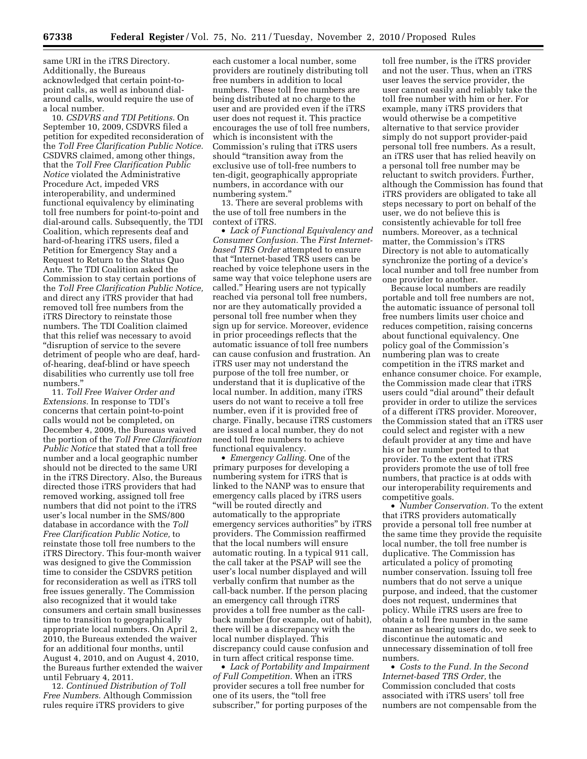same URI in the iTRS Directory. Additionally, the Bureaus acknowledged that certain point-topoint calls, as well as inbound dialaround calls, would require the use of a local number.

10. *CSDVRS and TDI Petitions.* On September 10, 2009, CSDVRS filed a petition for expedited reconsideration of the *Toll Free Clarification Public Notice.*  CSDVRS claimed, among other things, that the *Toll Free Clarification Public Notice* violated the Administrative Procedure Act, impeded VRS interoperability, and undermined functional equivalency by eliminating toll free numbers for point-to-point and dial-around calls. Subsequently, the TDI Coalition, which represents deaf and hard-of-hearing iTRS users, filed a Petition for Emergency Stay and a Request to Return to the Status Quo Ante. The TDI Coalition asked the Commission to stay certain portions of the *Toll Free Clarification Public Notice,*  and direct any iTRS provider that had removed toll free numbers from the iTRS Directory to reinstate those numbers. The TDI Coalition claimed that this relief was necessary to avoid ''disruption of service to the severe detriment of people who are deaf, hardof-hearing, deaf-blind or have speech disabilities who currently use toll free numbers.''

11. *Toll Free Waiver Order and Extensions.* In response to TDI's concerns that certain point-to-point calls would not be completed, on December 4, 2009, the Bureaus waived the portion of the *Toll Free Clarification Public Notice* that stated that a toll free number and a local geographic number should not be directed to the same URI in the iTRS Directory. Also, the Bureaus directed those iTRS providers that had removed working, assigned toll free numbers that did not point to the iTRS user's local number in the SMS/800 database in accordance with the *Toll Free Clarification Public Notice,* to reinstate those toll free numbers to the iTRS Directory. This four-month waiver was designed to give the Commission time to consider the CSDVRS petition for reconsideration as well as iTRS toll free issues generally. The Commission also recognized that it would take consumers and certain small businesses time to transition to geographically appropriate local numbers. On April 2, 2010, the Bureaus extended the waiver for an additional four months, until August 4, 2010, and on August 4, 2010, the Bureaus further extended the waiver until February 4, 2011.

12. *Continued Distribution of Toll Free Numbers.* Although Commission rules require iTRS providers to give

each customer a local number, some providers are routinely distributing toll free numbers in addition to local numbers. These toll free numbers are being distributed at no charge to the user and are provided even if the iTRS user does not request it. This practice encourages the use of toll free numbers, which is inconsistent with the Commission's ruling that iTRS users should ''transition away from the exclusive use of toll-free numbers to ten-digit, geographically appropriate numbers, in accordance with our numbering system.''

13. There are several problems with the use of toll free numbers in the context of iTRS.

• *Lack of Functional Equivalency and Consumer Confusion.* The *First Internetbased TRS Order* attempted to ensure that ''Internet-based TRS users can be reached by voice telephone users in the same way that voice telephone users are called.'' Hearing users are not typically reached via personal toll free numbers, nor are they automatically provided a personal toll free number when they sign up for service. Moreover, evidence in prior proceedings reflects that the automatic issuance of toll free numbers can cause confusion and frustration. An iTRS user may not understand the purpose of the toll free number, or understand that it is duplicative of the local number. In addition, many iTRS users do not want to receive a toll free number, even if it is provided free of charge. Finally, because iTRS customers are issued a local number, they do not need toll free numbers to achieve functional equivalency.

• *Emergency Calling.* One of the primary purposes for developing a numbering system for iTRS that is linked to the NANP was to ensure that emergency calls placed by iTRS users ''will be routed directly and automatically to the appropriate emergency services authorities'' by iTRS providers. The Commission reaffirmed that the local numbers will ensure automatic routing. In a typical 911 call, the call taker at the PSAP will see the user's local number displayed and will verbally confirm that number as the call-back number. If the person placing an emergency call through iTRS provides a toll free number as the callback number (for example, out of habit), there will be a discrepancy with the local number displayed. This discrepancy could cause confusion and in turn affect critical response time.

• *Lack of Portability and Impairment of Full Competition.* When an iTRS provider secures a toll free number for one of its users, the ''toll free subscriber,'' for porting purposes of the

toll free number, is the iTRS provider and not the user. Thus, when an iTRS user leaves the service provider, the user cannot easily and reliably take the toll free number with him or her. For example, many iTRS providers that would otherwise be a competitive alternative to that service provider simply do not support provider-paid personal toll free numbers. As a result, an iTRS user that has relied heavily on a personal toll free number may be reluctant to switch providers. Further, although the Commission has found that iTRS providers are obligated to take all steps necessary to port on behalf of the user, we do not believe this is consistently achievable for toll free numbers. Moreover, as a technical matter, the Commission's iTRS Directory is not able to automatically synchronize the porting of a device's local number and toll free number from one provider to another.

Because local numbers are readily portable and toll free numbers are not, the automatic issuance of personal toll free numbers limits user choice and reduces competition, raising concerns about functional equivalency. One policy goal of the Commission's numbering plan was to create competition in the iTRS market and enhance consumer choice. For example, the Commission made clear that iTRS users could ''dial around'' their default provider in order to utilize the services of a different iTRS provider. Moreover, the Commission stated that an iTRS user could select and register with a new default provider at any time and have his or her number ported to that provider. To the extent that iTRS providers promote the use of toll free numbers, that practice is at odds with our interoperability requirements and competitive goals.

• *Number Conservation.* To the extent that iTRS providers automatically provide a personal toll free number at the same time they provide the requisite local number, the toll free number is duplicative. The Commission has articulated a policy of promoting number conservation. Issuing toll free numbers that do not serve a unique purpose, and indeed, that the customer does not request, undermines that policy. While iTRS users are free to obtain a toll free number in the same manner as hearing users do, we seek to discontinue the automatic and unnecessary dissemination of toll free numbers.

• *Costs to the Fund. In the Second Internet-based TRS Order,* the Commission concluded that costs associated with iTRS users' toll free numbers are not compensable from the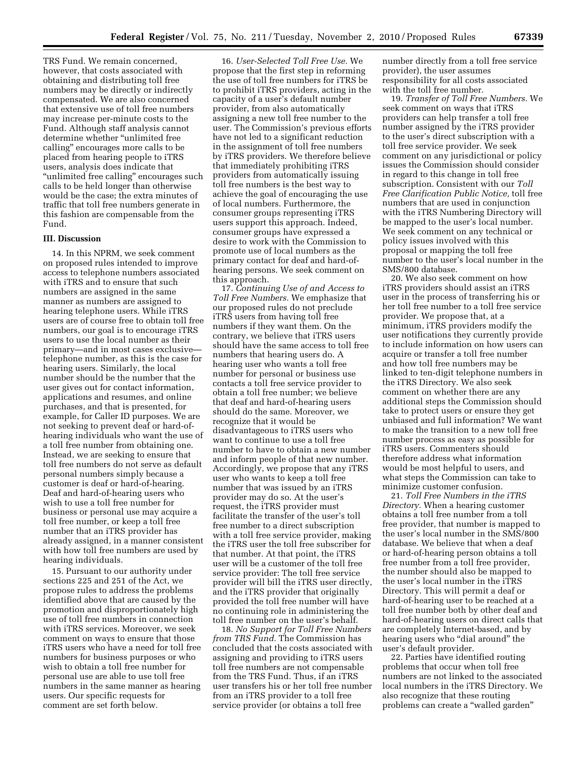TRS Fund. We remain concerned, however, that costs associated with obtaining and distributing toll free numbers may be directly or indirectly compensated. We are also concerned that extensive use of toll free numbers may increase per-minute costs to the Fund. Although staff analysis cannot determine whether "unlimited free calling'' encourages more calls to be placed from hearing people to iTRS users, analysis does indicate that "unlimited free calling" encourages such calls to be held longer than otherwise would be the case; the extra minutes of traffic that toll free numbers generate in this fashion are compensable from the Fund.

#### **III. Discussion**

14. In this NPRM, we seek comment on proposed rules intended to improve access to telephone numbers associated with iTRS and to ensure that such numbers are assigned in the same manner as numbers are assigned to hearing telephone users. While iTRS users are of course free to obtain toll free numbers, our goal is to encourage iTRS users to use the local number as their primary—and in most cases exclusive telephone number, as this is the case for hearing users. Similarly, the local number should be the number that the user gives out for contact information, applications and resumes, and online purchases, and that is presented, for example, for Caller ID purposes. We are not seeking to prevent deaf or hard-ofhearing individuals who want the use of a toll free number from obtaining one. Instead, we are seeking to ensure that toll free numbers do not serve as default personal numbers simply because a customer is deaf or hard-of-hearing. Deaf and hard-of-hearing users who wish to use a toll free number for business or personal use may acquire a toll free number, or keep a toll free number that an iTRS provider has already assigned, in a manner consistent with how toll free numbers are used by hearing individuals.

15. Pursuant to our authority under sections 225 and 251 of the Act, we propose rules to address the problems identified above that are caused by the promotion and disproportionately high use of toll free numbers in connection with iTRS services. Moreover, we seek comment on ways to ensure that those iTRS users who have a need for toll free numbers for business purposes or who wish to obtain a toll free number for personal use are able to use toll free numbers in the same manner as hearing users. Our specific requests for comment are set forth below.

16. *User-Selected Toll Free Use.* We propose that the first step in reforming the use of toll free numbers for iTRS be to prohibit iTRS providers, acting in the capacity of a user's default number provider, from also automatically assigning a new toll free number to the user. The Commission's previous efforts have not led to a significant reduction in the assignment of toll free numbers by iTRS providers. We therefore believe that immediately prohibiting iTRS providers from automatically issuing toll free numbers is the best way to achieve the goal of encouraging the use of local numbers. Furthermore, the consumer groups representing iTRS users support this approach. Indeed, consumer groups have expressed a desire to work with the Commission to promote use of local numbers as the primary contact for deaf and hard-ofhearing persons. We seek comment on this approach.

17. *Continuing Use of and Access to Toll Free Numbers.* We emphasize that our proposed rules do not preclude iTRS users from having toll free numbers if they want them. On the contrary, we believe that iTRS users should have the same access to toll free numbers that hearing users do. A hearing user who wants a toll free number for personal or business use contacts a toll free service provider to obtain a toll free number; we believe that deaf and hard-of-hearing users should do the same. Moreover, we recognize that it would be disadvantageous to iTRS users who want to continue to use a toll free number to have to obtain a new number and inform people of that new number. Accordingly, we propose that any iTRS user who wants to keep a toll free number that was issued by an iTRS provider may do so. At the user's request, the iTRS provider must facilitate the transfer of the user's toll free number to a direct subscription with a toll free service provider, making the iTRS user the toll free subscriber for that number. At that point, the iTRS user will be a customer of the toll free service provider: The toll free service provider will bill the iTRS user directly, and the iTRS provider that originally provided the toll free number will have no continuing role in administering the toll free number on the user's behalf.

18. *No Support for Toll Free Numbers from TRS Fund.* The Commission has concluded that the costs associated with assigning and providing to iTRS users toll free numbers are not compensable from the TRS Fund. Thus, if an iTRS user transfers his or her toll free number from an iTRS provider to a toll free service provider (or obtains a toll free

number directly from a toll free service provider), the user assumes responsibility for all costs associated with the toll free number.

19. *Transfer of Toll Free Numbers.* We seek comment on ways that iTRS providers can help transfer a toll free number assigned by the iTRS provider to the user's direct subscription with a toll free service provider. We seek comment on any jurisdictional or policy issues the Commission should consider in regard to this change in toll free subscription. Consistent with our *Toll Free Clarification Public Notice,* toll free numbers that are used in conjunction with the iTRS Numbering Directory will be mapped to the user's local number. We seek comment on any technical or policy issues involved with this proposal or mapping the toll free number to the user's local number in the SMS/800 database.

20. We also seek comment on how iTRS providers should assist an iTRS user in the process of transferring his or her toll free number to a toll free service provider. We propose that, at a minimum, iTRS providers modify the user notifications they currently provide to include information on how users can acquire or transfer a toll free number and how toll free numbers may be linked to ten-digit telephone numbers in the iTRS Directory. We also seek comment on whether there are any additional steps the Commission should take to protect users or ensure they get unbiased and full information? We want to make the transition to a new toll free number process as easy as possible for iTRS users. Commenters should therefore address what information would be most helpful to users, and what steps the Commission can take to minimize customer confusion.

21. *Toll Free Numbers in the iTRS Directory.* When a hearing customer obtains a toll free number from a toll free provider, that number is mapped to the user's local number in the SMS/800 database. We believe that when a deaf or hard-of-hearing person obtains a toll free number from a toll free provider, the number should also be mapped to the user's local number in the iTRS Directory. This will permit a deaf or hard-of-hearing user to be reached at a toll free number both by other deaf and hard-of-hearing users on direct calls that are completely Internet-based, and by hearing users who "dial around" the user's default provider.

22. Parties have identified routing problems that occur when toll free numbers are not linked to the associated local numbers in the iTRS Directory. We also recognize that these routing problems can create a ''walled garden''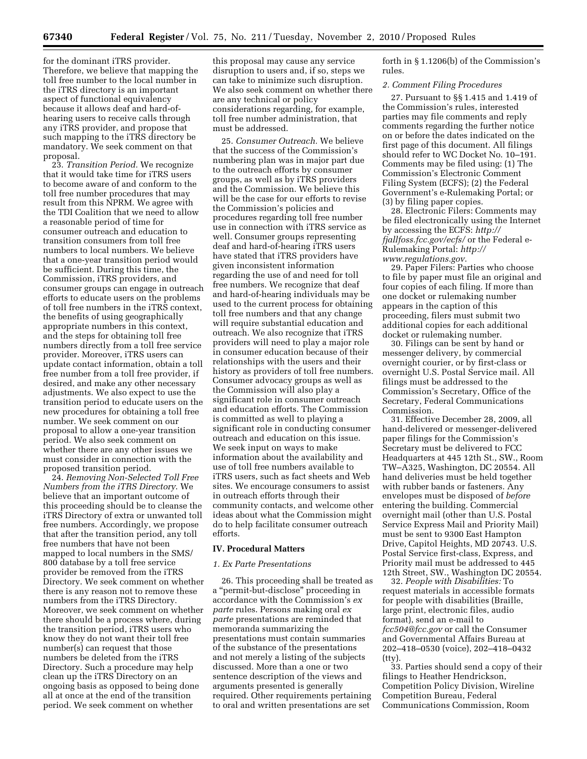for the dominant iTRS provider. Therefore, we believe that mapping the toll free number to the local number in the iTRS directory is an important aspect of functional equivalency because it allows deaf and hard-ofhearing users to receive calls through any iTRS provider, and propose that such mapping to the iTRS directory be mandatory. We seek comment on that proposal.

23. *Transition Period.* We recognize that it would take time for iTRS users to become aware of and conform to the toll free number procedures that may result from this NPRM. We agree with the TDI Coalition that we need to allow a reasonable period of time for consumer outreach and education to transition consumers from toll free numbers to local numbers. We believe that a one-year transition period would be sufficient. During this time, the Commission, iTRS providers, and consumer groups can engage in outreach efforts to educate users on the problems of toll free numbers in the iTRS context, the benefits of using geographically appropriate numbers in this context, and the steps for obtaining toll free numbers directly from a toll free service provider. Moreover, iTRS users can update contact information, obtain a toll free number from a toll free provider, if desired, and make any other necessary adjustments. We also expect to use the transition period to educate users on the new procedures for obtaining a toll free number. We seek comment on our proposal to allow a one-year transition period. We also seek comment on whether there are any other issues we must consider in connection with the proposed transition period.

24. *Removing Non-Selected Toll Free Numbers from the iTRS Directory*. We believe that an important outcome of this proceeding should be to cleanse the iTRS Directory of extra or unwanted toll free numbers. Accordingly, we propose that after the transition period, any toll free numbers that have not been mapped to local numbers in the SMS/ 800 database by a toll free service provider be removed from the iTRS Directory. We seek comment on whether there is any reason not to remove these numbers from the iTRS Directory. Moreover, we seek comment on whether there should be a process where, during the transition period, iTRS users who know they do not want their toll free number(s) can request that those numbers be deleted from the iTRS Directory. Such a procedure may help clean up the iTRS Directory on an ongoing basis as opposed to being done all at once at the end of the transition period. We seek comment on whether

this proposal may cause any service disruption to users and, if so, steps we can take to minimize such disruption. We also seek comment on whether there are any technical or policy considerations regarding, for example, toll free number administration, that must be addressed.

25. *Consumer Outreach.* We believe that the success of the Commission's numbering plan was in major part due to the outreach efforts by consumer groups, as well as by iTRS providers and the Commission. We believe this will be the case for our efforts to revise the Commission's policies and procedures regarding toll free number use in connection with iTRS service as well. Consumer groups representing deaf and hard-of-hearing iTRS users have stated that iTRS providers have given inconsistent information regarding the use of and need for toll free numbers. We recognize that deaf and hard-of-hearing individuals may be used to the current process for obtaining toll free numbers and that any change will require substantial education and outreach. We also recognize that iTRS providers will need to play a major role in consumer education because of their relationships with the users and their history as providers of toll free numbers. Consumer advocacy groups as well as the Commission will also play a significant role in consumer outreach and education efforts. The Commission is committed as well to playing a significant role in conducting consumer outreach and education on this issue. We seek input on ways to make information about the availability and use of toll free numbers available to iTRS users, such as fact sheets and Web sites. We encourage consumers to assist in outreach efforts through their community contacts, and welcome other ideas about what the Commission might do to help facilitate consumer outreach efforts.

## **IV. Procedural Matters**

## *1. Ex Parte Presentations*

26. This proceeding shall be treated as a ''permit-but-disclose'' proceeding in accordance with the Commission's *ex parte* rules. Persons making oral *ex parte* presentations are reminded that memoranda summarizing the presentations must contain summaries of the substance of the presentations and not merely a listing of the subjects discussed. More than a one or two sentence description of the views and arguments presented is generally required. Other requirements pertaining to oral and written presentations are set

forth in § 1.1206(b) of the Commission's rules.

#### *2. Comment Filing Procedures*

27. Pursuant to §§ 1.415 and 1.419 of the Commission's rules, interested parties may file comments and reply comments regarding the further notice on or before the dates indicated on the first page of this document. All filings should refer to WC Docket No. 10–191. Comments may be filed using: (1) The Commission's Electronic Comment Filing System (ECFS); (2) the Federal Government's e-Rulemaking Portal; or (3) by filing paper copies.

28. Electronic Filers: Comments may be filed electronically using the Internet by accessing the ECFS: *http:// fjallfoss.fcc.gov/ecfs/* or the Federal e-Rulemaking Portal: *http:// www.regulations.gov*.

29. Paper Filers: Parties who choose to file by paper must file an original and four copies of each filing. If more than one docket or rulemaking number appears in the caption of this proceeding, filers must submit two additional copies for each additional docket or rulemaking number.

30. Filings can be sent by hand or messenger delivery, by commercial overnight courier, or by first-class or overnight U.S. Postal Service mail. All filings must be addressed to the Commission's Secretary, Office of the Secretary, Federal Communications Commission.

31. Effective December 28, 2009, all hand-delivered or messenger-delivered paper filings for the Commission's Secretary must be delivered to FCC Headquarters at 445 12th St., SW., Room TW–A325, Washington, DC 20554. All hand deliveries must be held together with rubber bands or fasteners. Any envelopes must be disposed of *before*  entering the building. Commercial overnight mail (other than U.S. Postal Service Express Mail and Priority Mail) must be sent to 9300 East Hampton Drive, Capitol Heights, MD 20743. U.S. Postal Service first-class, Express, and Priority mail must be addressed to 445 12th Street, SW., Washington DC 20554.

32. *People with Disabilities:* To request materials in accessible formats for people with disabilities (Braille, large print, electronic files, audio format), send an e-mail to *fcc504@fcc.gov* or call the Consumer and Governmental Affairs Bureau at 202–418–0530 (voice), 202–418–0432 (tty).

33. Parties should send a copy of their filings to Heather Hendrickson, Competition Policy Division, Wireline Competition Bureau, Federal Communications Commission, Room